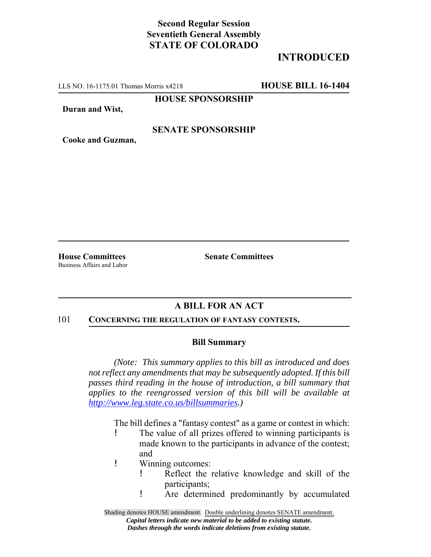# **Second Regular Session Seventieth General Assembly STATE OF COLORADO**

# **INTRODUCED**

LLS NO. 16-1175.01 Thomas Morris x4218 **HOUSE BILL 16-1404**

**HOUSE SPONSORSHIP**

**Duran and Wist,**

## **SENATE SPONSORSHIP**

**Cooke and Guzman,**

Business Affairs and Labor

**House Committees Senate Committees** 

## **A BILL FOR AN ACT**

#### 101 **CONCERNING THE REGULATION OF FANTASY CONTESTS.**

### **Bill Summary**

*(Note: This summary applies to this bill as introduced and does not reflect any amendments that may be subsequently adopted. If this bill passes third reading in the house of introduction, a bill summary that applies to the reengrossed version of this bill will be available at http://www.leg.state.co.us/billsummaries.)*

The bill defines a "fantasy contest" as a game or contest in which:

- ! The value of all prizes offered to winning participants is made known to the participants in advance of the contest; and
- ! Winning outcomes:
	- ! Reflect the relative knowledge and skill of the participants;
	- ! Are determined predominantly by accumulated

Shading denotes HOUSE amendment. Double underlining denotes SENATE amendment. *Capital letters indicate new material to be added to existing statute. Dashes through the words indicate deletions from existing statute.*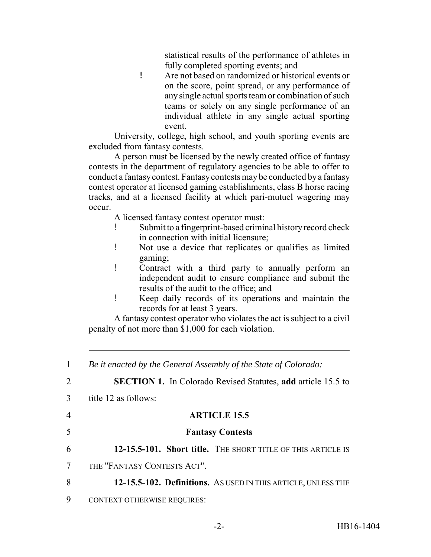statistical results of the performance of athletes in fully completed sporting events; and

! Are not based on randomized or historical events or on the score, point spread, or any performance of any single actual sports team or combination of such teams or solely on any single performance of an individual athlete in any single actual sporting event.

University, college, high school, and youth sporting events are excluded from fantasy contests.

A person must be licensed by the newly created office of fantasy contests in the department of regulatory agencies to be able to offer to conduct a fantasy contest. Fantasy contests may be conducted by a fantasy contest operator at licensed gaming establishments, class B horse racing tracks, and at a licensed facility at which pari-mutuel wagering may occur.

A licensed fantasy contest operator must:

- ! Submit to a fingerprint-based criminal history record check in connection with initial licensure;
- ! Not use a device that replicates or qualifies as limited gaming;
- ! Contract with a third party to annually perform an independent audit to ensure compliance and submit the results of the audit to the office; and
- ! Keep daily records of its operations and maintain the records for at least 3 years.

A fantasy contest operator who violates the act is subject to a civil penalty of not more than \$1,000 for each violation.

| $\mathbf{1}$   | Be it enacted by the General Assembly of the State of Colorado:     |
|----------------|---------------------------------------------------------------------|
| 2              | <b>SECTION 1.</b> In Colorado Revised Statutes, add article 15.5 to |
| 3              | title 12 as follows:                                                |
| $\overline{4}$ | <b>ARTICLE 15.5</b>                                                 |
| 5              | <b>Fantasy Contests</b>                                             |
| 6              | 12-15.5-101. Short title. THE SHORT TITLE OF THIS ARTICLE IS        |
| 7              | THE "FANTASY CONTESTS ACT".                                         |
| 8              | 12-15.5-102. Definitions. AS USED IN THIS ARTICLE, UNLESS THE       |
| 9              | <b>CONTEXT OTHERWISE REQUIRES:</b>                                  |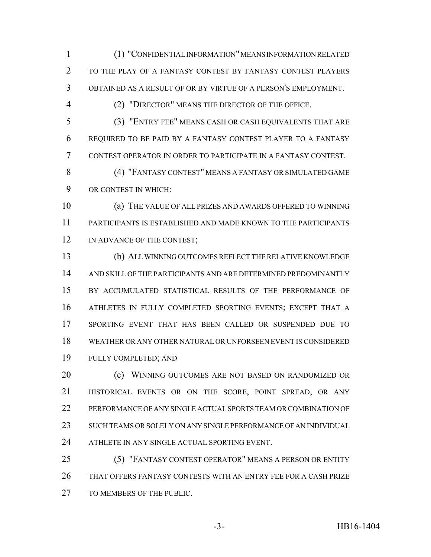(1) "CONFIDENTIAL INFORMATION" MEANS INFORMATION RELATED TO THE PLAY OF A FANTASY CONTEST BY FANTASY CONTEST PLAYERS OBTAINED AS A RESULT OF OR BY VIRTUE OF A PERSON'S EMPLOYMENT.

(2) "DIRECTOR" MEANS THE DIRECTOR OF THE OFFICE.

 (3) "ENTRY FEE" MEANS CASH OR CASH EQUIVALENTS THAT ARE REQUIRED TO BE PAID BY A FANTASY CONTEST PLAYER TO A FANTASY CONTEST OPERATOR IN ORDER TO PARTICIPATE IN A FANTASY CONTEST.

 (4) "FANTASY CONTEST" MEANS A FANTASY OR SIMULATED GAME OR CONTEST IN WHICH:

 (a) THE VALUE OF ALL PRIZES AND AWARDS OFFERED TO WINNING PARTICIPANTS IS ESTABLISHED AND MADE KNOWN TO THE PARTICIPANTS 12 IN ADVANCE OF THE CONTEST;

 (b) ALL WINNING OUTCOMES REFLECT THE RELATIVE KNOWLEDGE AND SKILL OF THE PARTICIPANTS AND ARE DETERMINED PREDOMINANTLY BY ACCUMULATED STATISTICAL RESULTS OF THE PERFORMANCE OF ATHLETES IN FULLY COMPLETED SPORTING EVENTS; EXCEPT THAT A SPORTING EVENT THAT HAS BEEN CALLED OR SUSPENDED DUE TO WEATHER OR ANY OTHER NATURAL OR UNFORSEEN EVENT IS CONSIDERED FULLY COMPLETED; AND

**(c) WINNING OUTCOMES ARE NOT BASED ON RANDOMIZED OR**  HISTORICAL EVENTS OR ON THE SCORE, POINT SPREAD, OR ANY PERFORMANCE OF ANY SINGLE ACTUAL SPORTS TEAM OR COMBINATION OF SUCH TEAMS OR SOLELY ON ANY SINGLE PERFORMANCE OF AN INDIVIDUAL ATHLETE IN ANY SINGLE ACTUAL SPORTING EVENT.

 (5) "FANTASY CONTEST OPERATOR" MEANS A PERSON OR ENTITY THAT OFFERS FANTASY CONTESTS WITH AN ENTRY FEE FOR A CASH PRIZE 27 TO MEMBERS OF THE PUBLIC.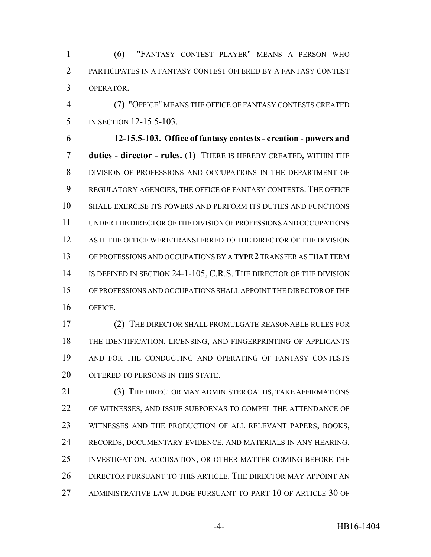(6) "FANTASY CONTEST PLAYER" MEANS A PERSON WHO PARTICIPATES IN A FANTASY CONTEST OFFERED BY A FANTASY CONTEST OPERATOR.

 (7) "OFFICE" MEANS THE OFFICE OF FANTASY CONTESTS CREATED IN SECTION 12-15.5-103.

 **12-15.5-103. Office of fantasy contests - creation - powers and duties - director - rules.** (1) THERE IS HEREBY CREATED, WITHIN THE DIVISION OF PROFESSIONS AND OCCUPATIONS IN THE DEPARTMENT OF REGULATORY AGENCIES, THE OFFICE OF FANTASY CONTESTS. THE OFFICE SHALL EXERCISE ITS POWERS AND PERFORM ITS DUTIES AND FUNCTIONS UNDER THE DIRECTOR OF THE DIVISION OF PROFESSIONS AND OCCUPATIONS AS IF THE OFFICE WERE TRANSFERRED TO THE DIRECTOR OF THE DIVISION OF PROFESSIONS AND OCCUPATIONS BY A **TYPE 2** TRANSFER AS THAT TERM IS DEFINED IN SECTION 24-1-105, C.R.S. THE DIRECTOR OF THE DIVISION OF PROFESSIONS AND OCCUPATIONS SHALL APPOINT THE DIRECTOR OF THE OFFICE.

 (2) THE DIRECTOR SHALL PROMULGATE REASONABLE RULES FOR THE IDENTIFICATION, LICENSING, AND FINGERPRINTING OF APPLICANTS AND FOR THE CONDUCTING AND OPERATING OF FANTASY CONTESTS 20 OFFERED TO PERSONS IN THIS STATE.

 (3) THE DIRECTOR MAY ADMINISTER OATHS, TAKE AFFIRMATIONS OF WITNESSES, AND ISSUE SUBPOENAS TO COMPEL THE ATTENDANCE OF WITNESSES AND THE PRODUCTION OF ALL RELEVANT PAPERS, BOOKS, RECORDS, DOCUMENTARY EVIDENCE, AND MATERIALS IN ANY HEARING, INVESTIGATION, ACCUSATION, OR OTHER MATTER COMING BEFORE THE DIRECTOR PURSUANT TO THIS ARTICLE. THE DIRECTOR MAY APPOINT AN ADMINISTRATIVE LAW JUDGE PURSUANT TO PART 10 OF ARTICLE 30 OF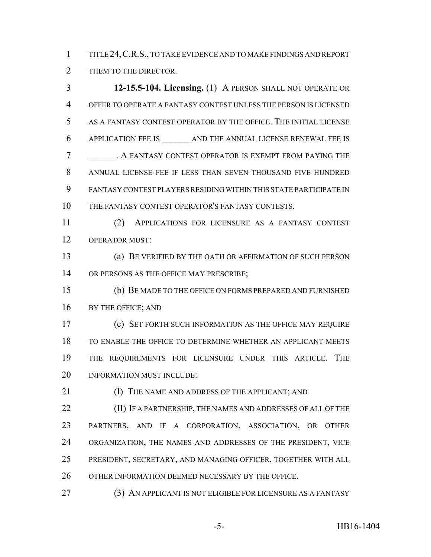TITLE 24,C.R.S., TO TAKE EVIDENCE AND TO MAKE FINDINGS AND REPORT 2 THEM TO THE DIRECTOR.

 **12-15.5-104. Licensing.** (1) A PERSON SHALL NOT OPERATE OR OFFER TO OPERATE A FANTASY CONTEST UNLESS THE PERSON IS LICENSED AS A FANTASY CONTEST OPERATOR BY THE OFFICE. THE INITIAL LICENSE APPLICATION FEE IS \_\_\_\_\_\_ AND THE ANNUAL LICENSE RENEWAL FEE IS **A FANTASY CONTEST OPERATOR IS EXEMPT FROM PAYING THE**  ANNUAL LICENSE FEE IF LESS THAN SEVEN THOUSAND FIVE HUNDRED FANTASY CONTEST PLAYERS RESIDING WITHIN THIS STATE PARTICIPATE IN THE FANTASY CONTEST OPERATOR'S FANTASY CONTESTS.

 (2) APPLICATIONS FOR LICENSURE AS A FANTASY CONTEST OPERATOR MUST:

 (a) BE VERIFIED BY THE OATH OR AFFIRMATION OF SUCH PERSON 14 OR PERSONS AS THE OFFICE MAY PRESCRIBE;

 (b) BE MADE TO THE OFFICE ON FORMS PREPARED AND FURNISHED BY THE OFFICE; AND

 (c) SET FORTH SUCH INFORMATION AS THE OFFICE MAY REQUIRE TO ENABLE THE OFFICE TO DETERMINE WHETHER AN APPLICANT MEETS THE REQUIREMENTS FOR LICENSURE UNDER THIS ARTICLE. THE INFORMATION MUST INCLUDE:

**(I) THE NAME AND ADDRESS OF THE APPLICANT; AND** 

 (II) IF A PARTNERSHIP, THE NAMES AND ADDRESSES OF ALL OF THE PARTNERS, AND IF A CORPORATION, ASSOCIATION, OR OTHER ORGANIZATION, THE NAMES AND ADDRESSES OF THE PRESIDENT, VICE PRESIDENT, SECRETARY, AND MANAGING OFFICER, TOGETHER WITH ALL OTHER INFORMATION DEEMED NECESSARY BY THE OFFICE.

(3) AN APPLICANT IS NOT ELIGIBLE FOR LICENSURE AS A FANTASY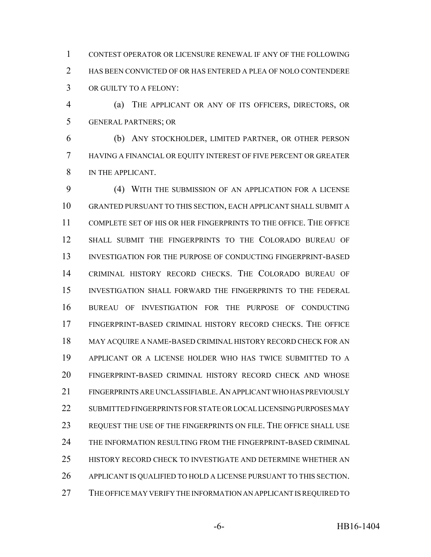CONTEST OPERATOR OR LICENSURE RENEWAL IF ANY OF THE FOLLOWING HAS BEEN CONVICTED OF OR HAS ENTERED A PLEA OF NOLO CONTENDERE OR GUILTY TO A FELONY:

 (a) THE APPLICANT OR ANY OF ITS OFFICERS, DIRECTORS, OR GENERAL PARTNERS; OR

 (b) ANY STOCKHOLDER, LIMITED PARTNER, OR OTHER PERSON HAVING A FINANCIAL OR EQUITY INTEREST OF FIVE PERCENT OR GREATER IN THE APPLICANT.

 (4) WITH THE SUBMISSION OF AN APPLICATION FOR A LICENSE GRANTED PURSUANT TO THIS SECTION, EACH APPLICANT SHALL SUBMIT A COMPLETE SET OF HIS OR HER FINGERPRINTS TO THE OFFICE. THE OFFICE SHALL SUBMIT THE FINGERPRINTS TO THE COLORADO BUREAU OF INVESTIGATION FOR THE PURPOSE OF CONDUCTING FINGERPRINT-BASED CRIMINAL HISTORY RECORD CHECKS. THE COLORADO BUREAU OF INVESTIGATION SHALL FORWARD THE FINGERPRINTS TO THE FEDERAL BUREAU OF INVESTIGATION FOR THE PURPOSE OF CONDUCTING FINGERPRINT-BASED CRIMINAL HISTORY RECORD CHECKS. THE OFFICE MAY ACQUIRE A NAME-BASED CRIMINAL HISTORY RECORD CHECK FOR AN APPLICANT OR A LICENSE HOLDER WHO HAS TWICE SUBMITTED TO A FINGERPRINT-BASED CRIMINAL HISTORY RECORD CHECK AND WHOSE FINGERPRINTS ARE UNCLASSIFIABLE.AN APPLICANT WHO HAS PREVIOUSLY SUBMITTED FINGERPRINTS FOR STATE OR LOCAL LICENSING PURPOSES MAY REQUEST THE USE OF THE FINGERPRINTS ON FILE. THE OFFICE SHALL USE THE INFORMATION RESULTING FROM THE FINGERPRINT-BASED CRIMINAL HISTORY RECORD CHECK TO INVESTIGATE AND DETERMINE WHETHER AN 26 APPLICANT IS QUALIFIED TO HOLD A LICENSE PURSUANT TO THIS SECTION. 27 THE OFFICE MAY VERIFY THE INFORMATION AN APPLICANT IS REQUIRED TO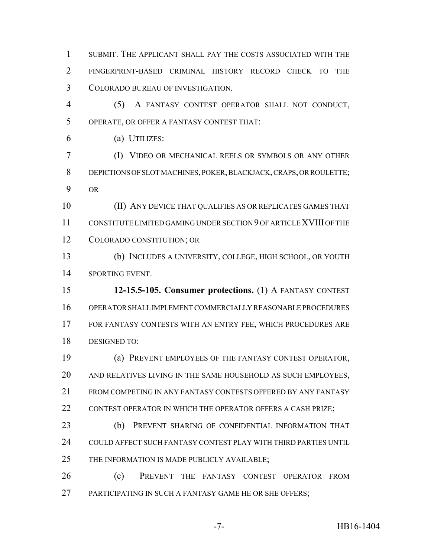SUBMIT. THE APPLICANT SHALL PAY THE COSTS ASSOCIATED WITH THE FINGERPRINT-BASED CRIMINAL HISTORY RECORD CHECK TO THE COLORADO BUREAU OF INVESTIGATION.

 (5) A FANTASY CONTEST OPERATOR SHALL NOT CONDUCT, OPERATE, OR OFFER A FANTASY CONTEST THAT:

(a) UTILIZES:

 (I) VIDEO OR MECHANICAL REELS OR SYMBOLS OR ANY OTHER DEPICTIONS OF SLOT MACHINES, POKER, BLACKJACK, CRAPS, OR ROULETTE; OR

 (II) ANY DEVICE THAT QUALIFIES AS OR REPLICATES GAMES THAT CONSTITUTE LIMITED GAMING UNDER SECTION 9 OF ARTICLE XVIII OF THE COLORADO CONSTITUTION; OR

 (b) INCLUDES A UNIVERSITY, COLLEGE, HIGH SCHOOL, OR YOUTH SPORTING EVENT.

 **12-15.5-105. Consumer protections.** (1) A FANTASY CONTEST OPERATOR SHALL IMPLEMENT COMMERCIALLY REASONABLE PROCEDURES FOR FANTASY CONTESTS WITH AN ENTRY FEE, WHICH PROCEDURES ARE DESIGNED TO:

 (a) PREVENT EMPLOYEES OF THE FANTASY CONTEST OPERATOR, AND RELATIVES LIVING IN THE SAME HOUSEHOLD AS SUCH EMPLOYEES, 21 FROM COMPETING IN ANY FANTASY CONTESTS OFFERED BY ANY FANTASY 22 CONTEST OPERATOR IN WHICH THE OPERATOR OFFERS A CASH PRIZE;

 (b) PREVENT SHARING OF CONFIDENTIAL INFORMATION THAT COULD AFFECT SUCH FANTASY CONTEST PLAY WITH THIRD PARTIES UNTIL THE INFORMATION IS MADE PUBLICLY AVAILABLE;

 (c) PREVENT THE FANTASY CONTEST OPERATOR FROM 27 PARTICIPATING IN SUCH A FANTASY GAME HE OR SHE OFFERS;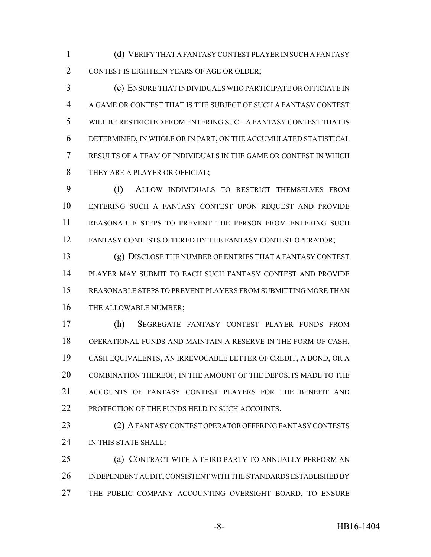(d) VERIFY THAT A FANTASY CONTEST PLAYER IN SUCH A FANTASY CONTEST IS EIGHTEEN YEARS OF AGE OR OLDER;

 (e) ENSURE THAT INDIVIDUALS WHO PARTICIPATE OR OFFICIATE IN A GAME OR CONTEST THAT IS THE SUBJECT OF SUCH A FANTASY CONTEST WILL BE RESTRICTED FROM ENTERING SUCH A FANTASY CONTEST THAT IS DETERMINED, IN WHOLE OR IN PART, ON THE ACCUMULATED STATISTICAL RESULTS OF A TEAM OF INDIVIDUALS IN THE GAME OR CONTEST IN WHICH THEY ARE A PLAYER OR OFFICIAL;

 (f) ALLOW INDIVIDUALS TO RESTRICT THEMSELVES FROM ENTERING SUCH A FANTASY CONTEST UPON REQUEST AND PROVIDE REASONABLE STEPS TO PREVENT THE PERSON FROM ENTERING SUCH 12 FANTASY CONTESTS OFFERED BY THE FANTASY CONTEST OPERATOR;

 (g) DISCLOSE THE NUMBER OF ENTRIES THAT A FANTASY CONTEST PLAYER MAY SUBMIT TO EACH SUCH FANTASY CONTEST AND PROVIDE REASONABLE STEPS TO PREVENT PLAYERS FROM SUBMITTING MORE THAN THE ALLOWABLE NUMBER;

 (h) SEGREGATE FANTASY CONTEST PLAYER FUNDS FROM OPERATIONAL FUNDS AND MAINTAIN A RESERVE IN THE FORM OF CASH, CASH EQUIVALENTS, AN IRREVOCABLE LETTER OF CREDIT, A BOND, OR A COMBINATION THEREOF, IN THE AMOUNT OF THE DEPOSITS MADE TO THE ACCOUNTS OF FANTASY CONTEST PLAYERS FOR THE BENEFIT AND 22 PROTECTION OF THE FUNDS HELD IN SUCH ACCOUNTS.

 (2) A FANTASY CONTEST OPERATOR OFFERING FANTASY CONTESTS 24 IN THIS STATE SHALL:

 (a) CONTRACT WITH A THIRD PARTY TO ANNUALLY PERFORM AN INDEPENDENT AUDIT, CONSISTENT WITH THE STANDARDS ESTABLISHED BY THE PUBLIC COMPANY ACCOUNTING OVERSIGHT BOARD, TO ENSURE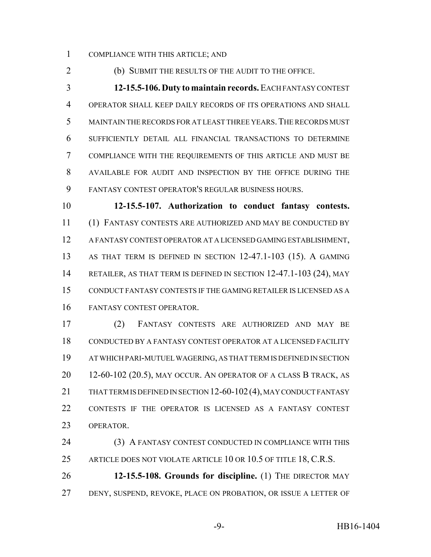COMPLIANCE WITH THIS ARTICLE; AND

(b) SUBMIT THE RESULTS OF THE AUDIT TO THE OFFICE.

 **12-15.5-106. Duty to maintain records.** EACH FANTASY CONTEST OPERATOR SHALL KEEP DAILY RECORDS OF ITS OPERATIONS AND SHALL MAINTAIN THE RECORDS FOR AT LEAST THREE YEARS.THE RECORDS MUST SUFFICIENTLY DETAIL ALL FINANCIAL TRANSACTIONS TO DETERMINE COMPLIANCE WITH THE REQUIREMENTS OF THIS ARTICLE AND MUST BE AVAILABLE FOR AUDIT AND INSPECTION BY THE OFFICE DURING THE FANTASY CONTEST OPERATOR'S REGULAR BUSINESS HOURS.

 **12-15.5-107. Authorization to conduct fantasy contests.** (1) FANTASY CONTESTS ARE AUTHORIZED AND MAY BE CONDUCTED BY A FANTASY CONTEST OPERATOR AT A LICENSED GAMING ESTABLISHMENT, AS THAT TERM IS DEFINED IN SECTION 12-47.1-103 (15). A GAMING 14 RETAILER, AS THAT TERM IS DEFINED IN SECTION 12-47.1-103 (24), MAY CONDUCT FANTASY CONTESTS IF THE GAMING RETAILER IS LICENSED AS A FANTASY CONTEST OPERATOR.

 (2) FANTASY CONTESTS ARE AUTHORIZED AND MAY BE CONDUCTED BY A FANTASY CONTEST OPERATOR AT A LICENSED FACILITY AT WHICH PARI-MUTUEL WAGERING, AS THAT TERM IS DEFINED IN SECTION 12-60-102 (20.5), MAY OCCUR. AN OPERATOR OF A CLASS B TRACK, AS 21 THAT TERM IS DEFINED IN SECTION 12-60-102(4), MAY CONDUCT FANTASY CONTESTS IF THE OPERATOR IS LICENSED AS A FANTASY CONTEST OPERATOR.

24 (3) A FANTASY CONTEST CONDUCTED IN COMPLIANCE WITH THIS 25 ARTICLE DOES NOT VIOLATE ARTICLE 10 OR 10.5 OF TITLE 18, C.R.S. **12-15.5-108. Grounds for discipline.** (1) THE DIRECTOR MAY

DENY, SUSPEND, REVOKE, PLACE ON PROBATION, OR ISSUE A LETTER OF